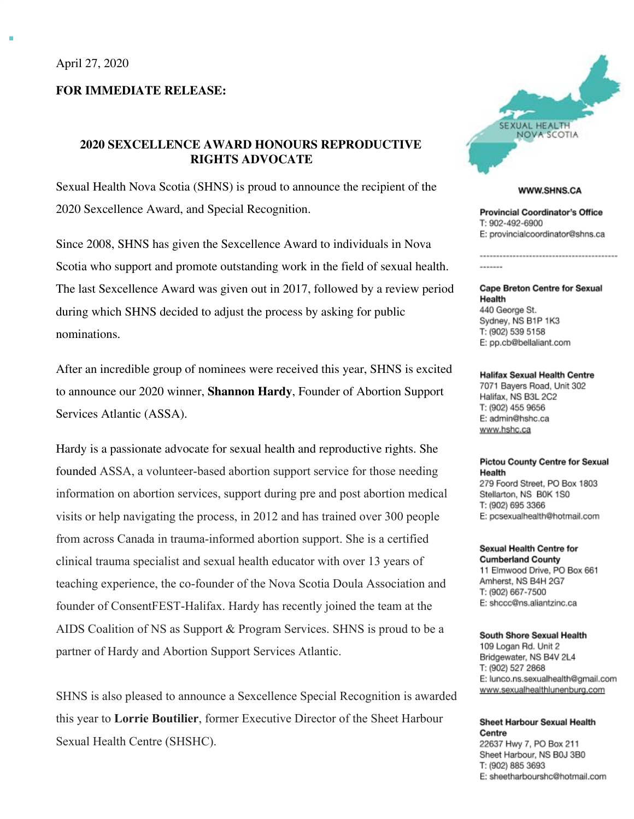## **FOR IMMEDIATE RELEASE:**

# **2020 SEXCELLENCE AWARD HONOURS REPRODUCTIVE RIGHTS ADVOCATE**

Sexual Health Nova Scotia (SHNS) is proud to announce the recipient of the 2020 Sexcellence Award, and Special Recognition.

Since 2008, SHNS has given the Sexcellence Award to individuals in Nova Scotia who support and promote outstanding work in the field of sexual health. The last Sexcellence Award was given out in 2017, followed by a review period during which SHNS decided to adjust the process by asking for public nominations.

After an incredible group of nominees were received this year, SHNS is excited to announce our 2020 winner, **Shannon Hardy**, Founder of Abortion Support Services Atlantic (ASSA).

Hardy is a passionate advocate for sexual health and reproductive rights. She founded ASSA, a volunteer-based abortion support service for those needing information on abortion services, support during pre and post abortion medical visits or help navigating the process, in 2012 and has trained over 300 people from across Canada in trauma-informed abortion support. She is a certified clinical trauma specialist and sexual health educator with over 13 years of teaching experience, the co-founder of the Nova Scotia Doula Association and founder of ConsentFEST-Halifax. Hardy has recently joined the team at the AIDS Coalition of NS as Support & Program Services. SHNS is proud to be a partner of Hardy and Abortion Support Services Atlantic.

SHNS is also pleased to announce a Sexcellence Special Recognition is awarded this year to **Lorrie Boutilier**, former Executive Director of the Sheet Harbour Sexual Health Centre (SHSHC).



#### WWW.SHNS.CA

---------------------------------

**Provincial Coordinator's Office** T: 902-492-6900 E: provincialcoordinator@shns.ca

**Cape Breton Centre for Sexual** Health 440 George St. Sydney, NS B1P 1K3 T: (902) 539 5158 E: pp.cb@bellaliant.com

-------

**Halifax Sexual Health Centre** 7071 Bayers Road, Unit 302 Halifax, NS B3L 2C2 T: (902) 455 9656 E: admin@hshc.ca www.hshc.ca

### **Pictou County Centre for Sexual** Health 279 Foord Street, PO Box 1803 Stellarton, NS B0K 1S0 T: (902) 695 3366

E: pcsexualhealth@hotmail.com

## Sexual Health Centre for

**Cumberland County** 11 Elmwood Drive, PO Box 661 Amherst, NS B4H 2G7 T: (902) 667-7500 E: shccc@ns.aliantzinc.ca

#### South Shore Sexual Health

109 Logan Rd. Unit 2 Bridgewater, NS B4V 2L4 T: (902) 527 2868 E: lunco.ns.sexualhealth@gmail.com www.sexualhealthlunenburg.com

### Sheet Harbour Sexual Health Centre 22637 Hwy 7, PO Box 211 Sheet Harbour, NS B0J 3B0

T: (902) 885 3693 E: sheetharbourshc@hotmail.com